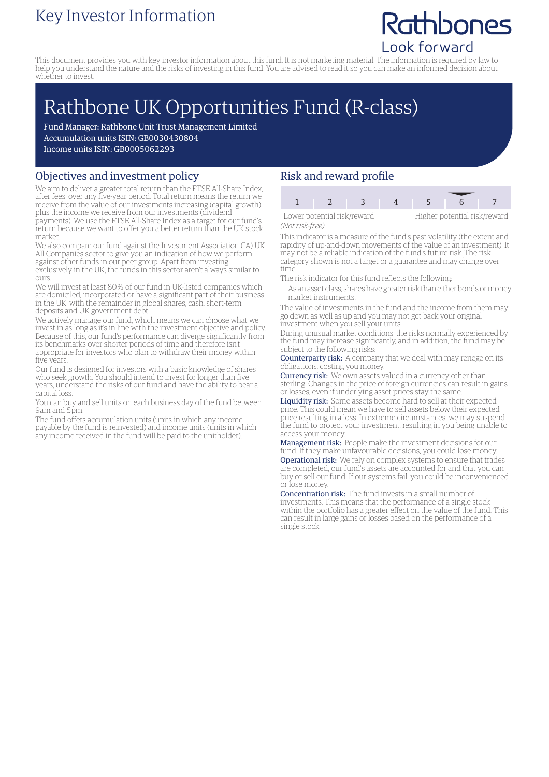### Key Investor Information

## Rathbones Look forward

This document provides you with key investor information about this fund. It is not marketing material. The information is required by law to help you understand the nature and the risks of investing in this fund. You are advised to read it so you can make an informed decision about whether to invest.

# Rathbone UK Opportunities Fund (R-class)

Fund Manager: Rathbone Unit Trust Management Limited Accumulation units ISIN: GB0030430804 Income units ISIN: GB0005062293

#### Objectives and investment policy

We aim to deliver a greater total return than the FTSE All-Share Index, after fees, over any five-year period. Total return means the return we receive from the value of our investments increasing (capital growth) plus the income we receive from our investments (dividend payments). We use the FTSE All-Share Index as a target for our fund's

return because we want to offer you a better return than the UK stock market.

We also compare our fund against the Investment Association (IA) UK All Companies sector to give you an indication of how we perform against other funds in our peer group. Apart from investing exclusively in the UK, the funds in this sector aren't always similar to ours.

We will invest at least 80% of our fund in UK-listed companies which are domiciled, incorporated or have a significant part of their business in the UK, with the remainder in global shares, cash, short-term deposits and UK government debt.

We actively manage our fund, which means we can choose what we invest in as long as it's in line with the investment objective and policy. Because of this, our fund's performance can diverge significantly from its benchmarks over shorter periods of time and therefore isn't appropriate for investors who plan to withdraw their money within five years.

Our fund is designed for investors with a basic knowledge of shares who seek growth. You should intend to invest for longer than five years, understand the risks of our fund and have the ability to bear a capital loss.

You can buy and sell units on each business day of the fund between 9am and 5pm.

The fund offers accumulation units (units in which any income payable by the fund is reinvested) and income units (units in which any income received in the fund will be paid to the unitholder).

#### Risk and reward profile

| Lower potential risk/reward |  |  | Higher potential risk/rew |  |  |
|-----------------------------|--|--|---------------------------|--|--|
| [Not work from]             |  |  |                           |  |  |

Higher potential risk/reward

*(Not risk-free)* This indicator is a measure of the fund's past volatility (the extent and rapidity of up-and-down movements of the value of an investment). It may not be a reliable indication of the fund's future risk. The risk category shown is not a target or a guarantee and may change over

time. The risk indicator for this fund reflects the following:

— As an asset class, shares have greater risk than either bonds ormoney market instruments.

The value of investments in the fund and the income from them may go down as well as up and you may not get back your original investment when you sell your units.

During unusual market conditions, the risks normally experienced by the fund may increase significantly, and in addition, the fund may be subject to the following risks:

Counterparty risk: A company that we deal with may renege on its obligations, costing you money.

Currency risk: We own assets valued in a currency other than sterling. Changes in the price of foreign currencies can result in gains or losses, even if underlying asset prices stay the same.

Liquidity risk: Some assets become hard to sell at their expected price. This could mean we have to sell assets below their expected price resulting in a loss. In extreme circumstances, we may suspend the fund to protect your investment, resulting in you being unable to access your money.

Management risk: People make the investment decisions for our fund. If they make unfavourable decisions, you could lose money. Operational risk: We rely on complex systems to ensure that trades are completed, our fund's assets are accounted for and that you can buy or sell our fund. If our systems fail, you could be inconvenienced or lose money.

Concentration risk: The fund invests in a small number of investments. This means that the performance of a single stock within the portfolio has a greater effect on the value of the fund. This can result in large gains or losses based on the performance of a single stock.